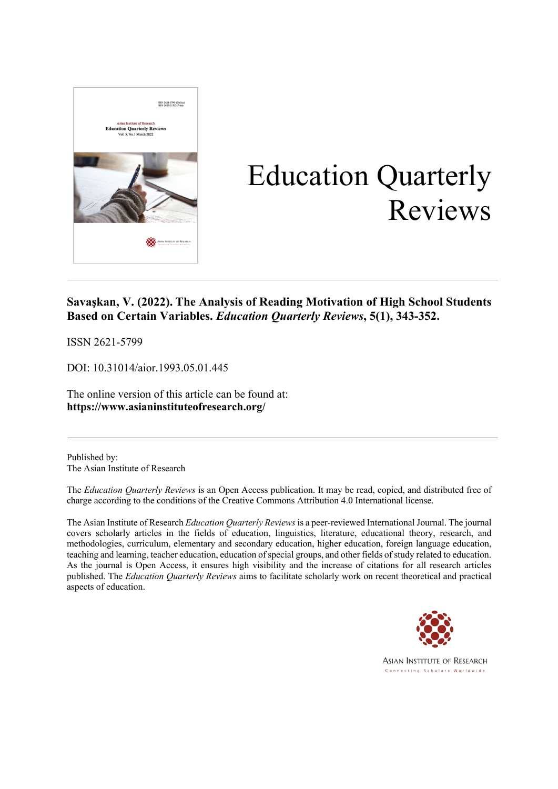

# Education Quarterly Reviews

### **Savaşkan, V. (2022). The Analysis of Reading Motivation of High School Students Based on Certain Variables.** *Education Quarterly Reviews***, 5(1), 343-352.**

ISSN 2621-5799

DOI: 10.31014/aior.1993.05.01.445

The online version of this article can be found at: **https://www.asianinstituteofresearch.org/**

Published by: The Asian Institute of Research

The *Education Quarterly Reviews* is an Open Access publication. It may be read, copied, and distributed free of charge according to the conditions of the Creative Commons Attribution 4.0 International license.

The Asian Institute of Research *Education Quarterly Reviews* is a peer-reviewed International Journal. The journal covers scholarly articles in the fields of education, linguistics, literature, educational theory, research, and methodologies, curriculum, elementary and secondary education, higher education, foreign language education, teaching and learning, teacher education, education of special groups, and other fields of study related to education. As the journal is Open Access, it ensures high visibility and the increase of citations for all research articles published. The *Education Quarterly Reviews* aims to facilitate scholarly work on recent theoretical and practical aspects of education.

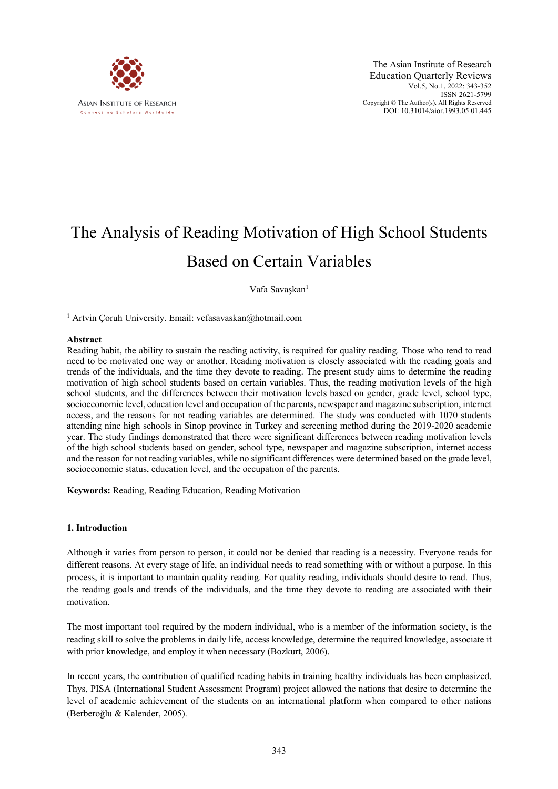

## The Analysis of Reading Motivation of High School Students Based on Certain Variables

Vafa Savaşkan<sup>1</sup>

<sup>1</sup> Artvin Coruh University. Email: vefasavaskan@hotmail.com

#### **Abstract**

Reading habit, the ability to sustain the reading activity, is required for quality reading. Those who tend to read need to be motivated one way or another. Reading motivation is closely associated with the reading goals and trends of the individuals, and the time they devote to reading. The present study aims to determine the reading motivation of high school students based on certain variables. Thus, the reading motivation levels of the high school students, and the differences between their motivation levels based on gender, grade level, school type, socioeconomic level, education level and occupation of the parents, newspaper and magazine subscription, internet access, and the reasons for not reading variables are determined. The study was conducted with 1070 students attending nine high schools in Sinop province in Turkey and screening method during the 2019-2020 academic year. The study findings demonstrated that there were significant differences between reading motivation levels of the high school students based on gender, school type, newspaper and magazine subscription, internet access and the reason for not reading variables, while no significant differences were determined based on the grade level, socioeconomic status, education level, and the occupation of the parents.

**Keywords:** Reading, Reading Education, Reading Motivation

#### **1. Introduction**

Although it varies from person to person, it could not be denied that reading is a necessity. Everyone reads for different reasons. At every stage of life, an individual needs to read something with or without a purpose. In this process, it is important to maintain quality reading. For quality reading, individuals should desire to read. Thus, the reading goals and trends of the individuals, and the time they devote to reading are associated with their motivation.

The most important tool required by the modern individual, who is a member of the information society, is the reading skill to solve the problems in daily life, access knowledge, determine the required knowledge, associate it with prior knowledge, and employ it when necessary (Bozkurt, 2006).

In recent years, the contribution of qualified reading habits in training healthy individuals has been emphasized. Thys, PISA (International Student Assessment Program) project allowed the nations that desire to determine the level of academic achievement of the students on an international platform when compared to other nations (Berberoğlu & Kalender, 2005).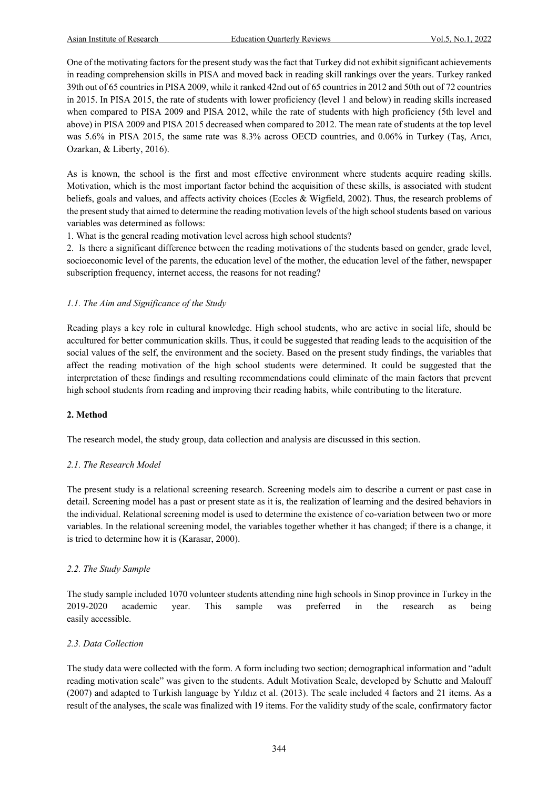One of the motivating factors for the present study was the fact that Turkey did not exhibit significant achievements in reading comprehension skills in PISA and moved back in reading skill rankings over the years. Turkey ranked 39th out of 65 countries in PISA 2009, while it ranked 42nd out of 65 countries in 2012 and 50th out of 72 countries in 2015. In PISA 2015, the rate of students with lower proficiency (level 1 and below) in reading skills increased when compared to PISA 2009 and PISA 2012, while the rate of students with high proficiency (5th level and above) in PISA 2009 and PISA 2015 decreased when compared to 2012. The mean rate of students at the top level was 5.6% in PISA 2015, the same rate was 8.3% across OECD countries, and 0.06% in Turkey (Taş, Arıcı, Ozarkan, & Liberty, 2016).

As is known, the school is the first and most effective environment where students acquire reading skills. Motivation, which is the most important factor behind the acquisition of these skills, is associated with student beliefs, goals and values, and affects activity choices (Eccles & Wigfield, 2002). Thus, the research problems of the present study that aimed to determine the reading motivation levels of the high school students based on various variables was determined as follows:

1. What is the general reading motivation level across high school students?

2. Is there a significant difference between the reading motivations of the students based on gender, grade level, socioeconomic level of the parents, the education level of the mother, the education level of the father, newspaper subscription frequency, internet access, the reasons for not reading?

#### *1.1. The Aim and Significance of the Study*

Reading plays a key role in cultural knowledge. High school students, who are active in social life, should be accultured for better communication skills. Thus, it could be suggested that reading leads to the acquisition of the social values of the self, the environment and the society. Based on the present study findings, the variables that affect the reading motivation of the high school students were determined. It could be suggested that the interpretation of these findings and resulting recommendations could eliminate of the main factors that prevent high school students from reading and improving their reading habits, while contributing to the literature.

#### **2. Method**

The research model, the study group, data collection and analysis are discussed in this section.

#### *2.1. The Research Model*

The present study is a relational screening research. Screening models aim to describe a current or past case in detail. Screening model has a past or present state as it is, the realization of learning and the desired behaviors in the individual. Relational screening model is used to determine the existence of co-variation between two or more variables. In the relational screening model, the variables together whether it has changed; if there is a change, it is tried to determine how it is (Karasar, 2000).

#### *2.2. The Study Sample*

The study sample included 1070 volunteer students attending nine high schools in Sinop province in Turkey in the 2019-2020 academic year. This sample was preferred in the research as being easily accessible.

#### *2.3. Data Collection*

The study data were collected with the form. A form including two section; demographical information and "adult reading motivation scale" was given to the students. Adult Motivation Scale, developed by Schutte and Malouff (2007) and adapted to Turkish language by Yıldız et al. (2013). The scale included 4 factors and 21 items. As a result of the analyses, the scale was finalized with 19 items. For the validity study of the scale, confirmatory factor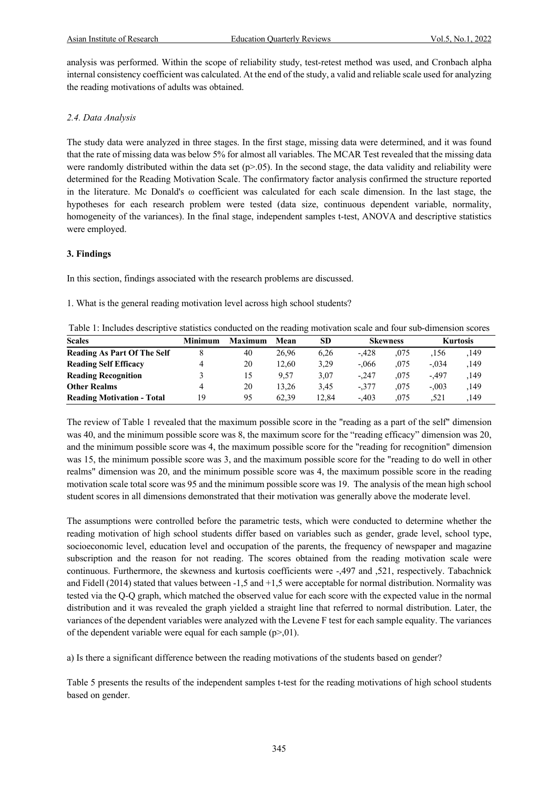analysis was performed. Within the scope of reliability study, test-retest method was used, and Cronbach alpha internal consistency coefficient was calculated. At the end of the study, a valid and reliable scale used for analyzing the reading motivations of adults was obtained.

#### *2.4. Data Analysis*

The study data were analyzed in three stages. In the first stage, missing data were determined, and it was found that the rate of missing data was below 5% for almost all variables. The MCAR Test revealed that the missing data were randomly distributed within the data set  $(p>0.05)$ . In the second stage, the data validity and reliability were determined for the Reading Motivation Scale. The confirmatory factor analysis confirmed the structure reported in the literature. Mc Donald's ω coefficient was calculated for each scale dimension. In the last stage, the hypotheses for each research problem were tested (data size, continuous dependent variable, normality, homogeneity of the variances). In the final stage, independent samples t-test, ANOVA and descriptive statistics were employed.

#### **3. Findings**

In this section, findings associated with the research problems are discussed.

1. What is the general reading motivation level across high school students?

| Table 1: Includes descriptive statistics conducted on the reading motivation scale and four sub-dimension scores |  |
|------------------------------------------------------------------------------------------------------------------|--|
|                                                                                                                  |  |

| <b>Scales</b>                      | <b>Minimum</b> | <b>Maximum</b> | Mean  | SD    | <b>Skewness</b> |      | <b>Kurtosis</b> |      |
|------------------------------------|----------------|----------------|-------|-------|-----------------|------|-----------------|------|
| <b>Reading As Part Of The Self</b> |                | 40             | 26.96 | 6.26  | $-428$          | .075 | .156            | ,149 |
| <b>Reading Self Efficacy</b>       |                | 20             | 12.60 | 3,29  | $-.066$         | .075 | $-.034$         | .149 |
| <b>Reading Recognition</b>         |                | 15             | 9.57  | 3.07  | $-.247$         | .075 | $-.497$         | ,149 |
| <b>Other Realms</b>                |                | 20             | 13.26 | 3.45  | $-377$          | .075 | $-.003$         | ,149 |
| <b>Reading Motivation - Total</b>  | 19             | 95             | 62.39 | 12.84 | $-.403$         | .075 | .521            | .149 |

The review of Table 1 revealed that the maximum possible score in the "reading as a part of the self" dimension was 40, and the minimum possible score was 8, the maximum score for the "reading efficacy" dimension was 20, and the minimum possible score was 4, the maximum possible score for the "reading for recognition" dimension was 15, the minimum possible score was 3, and the maximum possible score for the "reading to do well in other realms" dimension was 20, and the minimum possible score was 4, the maximum possible score in the reading motivation scale total score was 95 and the minimum possible score was 19. The analysis of the mean high school student scores in all dimensions demonstrated that their motivation was generally above the moderate level.

The assumptions were controlled before the parametric tests, which were conducted to determine whether the reading motivation of high school students differ based on variables such as gender, grade level, school type, socioeconomic level, education level and occupation of the parents, the frequency of newspaper and magazine subscription and the reason for not reading. The scores obtained from the reading motivation scale were continuous. Furthermore, the skewness and kurtosis coefficients were -,497 and ,521, respectively. Tabachnick and Fidell (2014) stated that values between -1,5 and +1,5 were acceptable for normal distribution. Normality was tested via the Q-Q graph, which matched the observed value for each score with the expected value in the normal distribution and it was revealed the graph yielded a straight line that referred to normal distribution. Later, the variances of the dependent variables were analyzed with the Levene F test for each sample equality. The variances of the dependent variable were equal for each sample  $(p>0.01)$ .

a) Is there a significant difference between the reading motivations of the students based on gender?

Table 5 presents the results of the independent samples t-test for the reading motivations of high school students based on gender.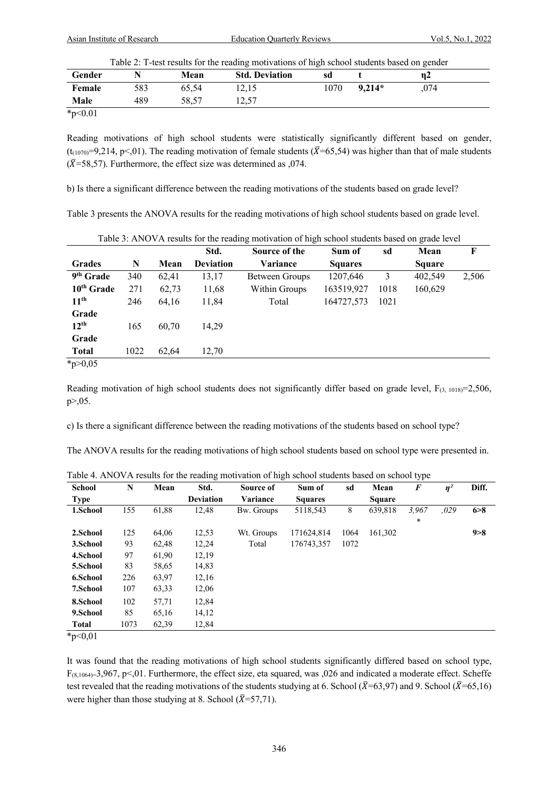Asian Institute of Research Education Quarterly Reviews Vol.5, No.1, 2022

| Table 2: T-test results for the reading motivations of high school students based on gender |  |  |
|---------------------------------------------------------------------------------------------|--|--|
|                                                                                             |  |  |

| Gender     | N   | Mean  | <b>Std. Deviation</b> | ັ<br>sd |          | ັ<br>$\eta$ 2 |  |
|------------|-----|-------|-----------------------|---------|----------|---------------|--|
| Female     | 583 | 65.54 | 12,15                 | 1070    | $9.214*$ | ,074          |  |
| Male       | 489 | 58.57 | 12.57                 |         |          |               |  |
| $* - 0.01$ |     |       |                       |         |          |               |  |

\*p<0.01

Reading motivations of high school students were statistically significantly different based on gender, (t<sub>(1070)</sub>=9,214, p<,01). The reading motivation of female students ( $\bar{X}$ =65,54) was higher than that of male students  $(\overline{X}$ =58,57). Furthermore, the effect size was determined as ,074.

b) Is there a significant difference between the reading motivations of the students based on grade level?

Table 3 presents the ANOVA results for the reading motivations of high school students based on grade level.

|                       |      |       | Std.             | Source of the  | Sum of         | sd   | Mean          | F     |
|-----------------------|------|-------|------------------|----------------|----------------|------|---------------|-------|
| <b>Grades</b>         | N    | Mean  | <b>Deviation</b> | Variance       | <b>Squares</b> |      | <b>Square</b> |       |
| 9 <sup>th</sup> Grade | 340  | 62,41 | 13,17            | Between Groups | 1207.646       | 3    | 402,549       | 2,506 |
| $10th$ Grade          | 271  | 62,73 | 11,68            | Within Groups  | 163519,927     | 1018 | 160,629       |       |
| 11 <sup>th</sup>      | 246  | 64,16 | 11,84            | Total          | 164727,573     | 1021 |               |       |
| Grade                 |      |       |                  |                |                |      |               |       |
| $12^{th}$             | 165  | 60,70 | 14,29            |                |                |      |               |       |
| Grade                 |      |       |                  |                |                |      |               |       |
| <b>Total</b>          | 1022 | 62,64 | 12,70            |                |                |      |               |       |
| * $p > 0,05$          |      |       |                  |                |                |      |               |       |

Table 3: ANOVA results for the reading motivation of high school students based on grade level

Reading motivation of high school students does not significantly differ based on grade level,  $F_{(3, 1018)} = 2,506$ , p>,05.

c) Is there a significant difference between the reading motivations of the students based on school type?

The ANOVA results for the reading motivations of high school students based on school type were presented in.

| <b>School</b> | N    | Mean  | Std.             | Source of  | Sum of         | sd   | Mean          | $\bm{F}$ | $\eta^2$ | Diff. |
|---------------|------|-------|------------------|------------|----------------|------|---------------|----------|----------|-------|
| <b>Type</b>   |      |       | <b>Deviation</b> | Variance   | <b>Squares</b> |      | <b>Square</b> |          |          |       |
| 1.School      | 155  | 61,88 | 12,48            | Bw. Groups | 5118,543       | 8    | 639,818       | 3,967    | 0.029    | 6 > 8 |
|               |      |       |                  |            |                |      |               | *        |          |       |
| 2.School      | 125  | 64,06 | 12,53            | Wt. Groups | 171624,814     | 1064 | 161,302       |          |          | 9 > 8 |
| 3.School      | 93   | 62,48 | 12,24            | Total      | 176743,357     | 1072 |               |          |          |       |
| 4.School      | 97   | 61,90 | 12,19            |            |                |      |               |          |          |       |
| 5.School      | 83   | 58,65 | 14,83            |            |                |      |               |          |          |       |
| 6.School      | 226  | 63,97 | 12,16            |            |                |      |               |          |          |       |
| 7.School      | 107  | 63,33 | 12,06            |            |                |      |               |          |          |       |
| 8.School      | 102  | 57,71 | 12.84            |            |                |      |               |          |          |       |
| 9.School      | 85   | 65,16 | 14,12            |            |                |      |               |          |          |       |
| <b>Total</b>  | 1073 | 62,39 | 12,84            |            |                |      |               |          |          |       |
| $*_{n}$ 0 0 1 |      |       |                  |            |                |      |               |          |          |       |

Table 4. ANOVA results for the reading motivation of high school students based on school type

\*p<0,01

It was found that the reading motivations of high school students significantly differed based on school type,  $F_{(8,1064)=3,967, p\leq 0.01$ . Furthermore, the effect size, eta squared, was ,026 and indicated a moderate effect. Scheffe test revealed that the reading motivations of the students studying at 6. School ( $\bar{X}$ =63,97) and 9. School ( $\bar{X}$ =65,16) were higher than those studying at 8. School ( $\bar{X}$ =57,71).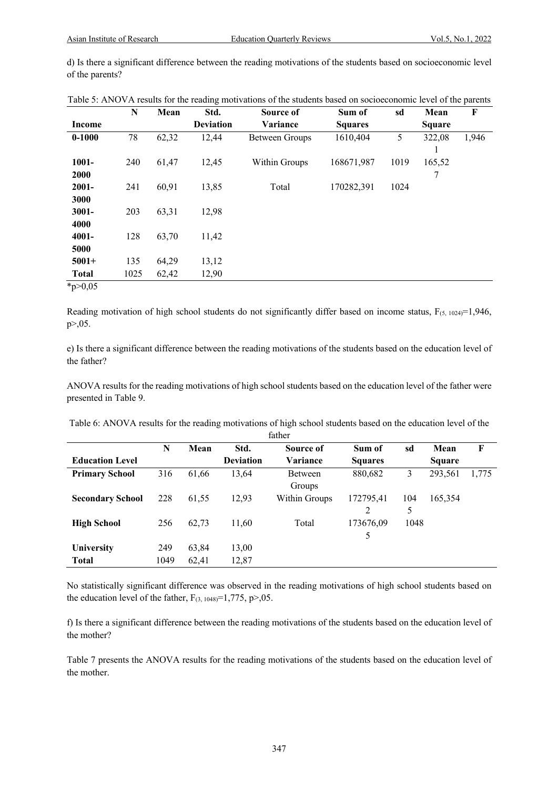d) Is there a significant difference between the reading motivations of the students based on socioeconomic level of the parents?

|              | $\mathbf N$ | Mean  | Std.             | Source of      | Sum of         | sd   | Mean          | F     |
|--------------|-------------|-------|------------------|----------------|----------------|------|---------------|-------|
| Income       |             |       | <b>Deviation</b> | Variance       | <b>Squares</b> |      | <b>Square</b> |       |
| $0 - 1000$   | 78          | 62,32 | 12,44            | Between Groups | 1610,404       | 5    | 322,08        | 1,946 |
|              |             |       |                  |                |                |      |               |       |
| 1001-        | 240         | 61,47 | 12,45            | Within Groups  | 168671,987     | 1019 | 165,52        |       |
| 2000         |             |       |                  |                |                |      | 7             |       |
| $2001 -$     | 241         | 60,91 | 13,85            | Total          | 170282,391     | 1024 |               |       |
| 3000         |             |       |                  |                |                |      |               |       |
| $3001 -$     | 203         | 63,31 | 12,98            |                |                |      |               |       |
| 4000         |             |       |                  |                |                |      |               |       |
| 4001-        | 128         | 63,70 | 11,42            |                |                |      |               |       |
| 5000         |             |       |                  |                |                |      |               |       |
| $5001+$      | 135         | 64,29 | 13,12            |                |                |      |               |       |
| <b>Total</b> | 1025        | 62,42 | 12,90            |                |                |      |               |       |
| * $p > 0,05$ |             |       |                  |                |                |      |               |       |

Table 5: ANOVA results for the reading motivations of the students based on socioeconomic level of the parents

Reading motivation of high school students do not significantly differ based on income status,  $F_{(5, 1024)} = 1,946$ , p>,05.

e) Is there a significant difference between the reading motivations of the students based on the education level of the father?

ANOVA results for the reading motivations of high school students based on the education level of the father were presented in Table 9.

Table 6: ANOVA results for the reading motivations of high school students based on the education level of the

|                         | father |       |                  |                |                |      |               |       |  |  |  |  |
|-------------------------|--------|-------|------------------|----------------|----------------|------|---------------|-------|--|--|--|--|
|                         | N      | Mean  | Std.             | Source of      | Sum of         | sd   | Mean          | F     |  |  |  |  |
| <b>Education Level</b>  |        |       | <b>Deviation</b> | Variance       | <b>Squares</b> |      | <b>Square</b> |       |  |  |  |  |
| <b>Primary School</b>   | 316    | 61,66 | 13,64            | <b>Between</b> | 880,682        | 3    | 293,561       | 1,775 |  |  |  |  |
|                         |        |       |                  | Groups         |                |      |               |       |  |  |  |  |
| <b>Secondary School</b> | 228    | 61,55 | 12,93            | Within Groups  | 172795,41      | 104  | 165,354       |       |  |  |  |  |
|                         |        |       |                  |                | $\overline{c}$ | 5    |               |       |  |  |  |  |
| <b>High School</b>      | 256    | 62,73 | 11,60            | Total          | 173676,09      | 1048 |               |       |  |  |  |  |
|                         |        |       |                  |                | 5              |      |               |       |  |  |  |  |
| <b>University</b>       | 249    | 63,84 | 13,00            |                |                |      |               |       |  |  |  |  |
| <b>Total</b>            | 1049   | 62,41 | 12,87            |                |                |      |               |       |  |  |  |  |

No statistically significant difference was observed in the reading motivations of high school students based on the education level of the father,  $F_{(3, 1048)} = 1,775$ , p>,05.

f) Is there a significant difference between the reading motivations of the students based on the education level of the mother?

Table 7 presents the ANOVA results for the reading motivations of the students based on the education level of the mother.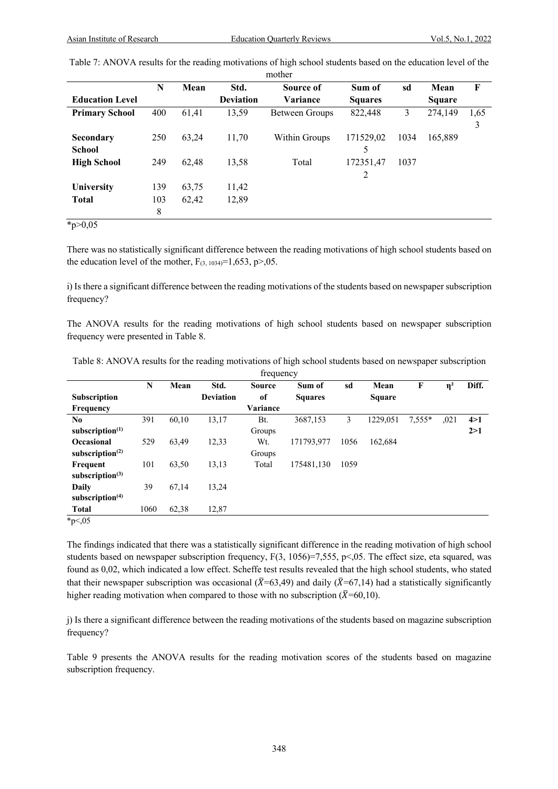|                                   |                |       |                  | mother         |                |      |               |           |
|-----------------------------------|----------------|-------|------------------|----------------|----------------|------|---------------|-----------|
|                                   | N              | Mean  | Std.             | Source of      | Sum of         | sd   | Mean          | F         |
| <b>Education Level</b>            |                |       | <b>Deviation</b> | Variance       | <b>Squares</b> |      | <b>Square</b> |           |
| <b>Primary School</b>             | 400            | 61,41 | 13,59            | Between Groups | 822,448        | 3    | 274,149       | 1,65<br>3 |
| <b>Secondary</b><br><b>School</b> | 250            | 63,24 | 11,70            | Within Groups  | 171529,02<br>5 | 1034 | 165,889       |           |
| <b>High School</b>                | 249            | 62.48 | 13,58            | Total          | 172351,47<br>2 | 1037 |               |           |
| University                        | 139            | 63,75 | 11,42            |                |                |      |               |           |
| <b>Total</b>                      | 103<br>$\,8\,$ | 62,42 | 12,89            |                |                |      |               |           |
| * $p > 0,05$                      |                |       |                  |                |                |      |               |           |

| Table 7: ANOVA results for the reading motivations of high school students based on the education level of the |  |  |  |
|----------------------------------------------------------------------------------------------------------------|--|--|--|
|----------------------------------------------------------------------------------------------------------------|--|--|--|

There was no statistically significant difference between the reading motivations of high school students based on the education level of the mother,  $F_{(3, 1034)} = 1,653, p > 0.05$ .

i) Is there a significant difference between the reading motivations of the students based on newspaper subscription frequency?

The ANOVA results for the reading motivations of high school students based on newspaper subscription frequency were presented in Table 8.

| Table 8: ANOVA results for the reading motivations of high school students based on newspaper subscription |  |
|------------------------------------------------------------------------------------------------------------|--|
| frequency                                                                                                  |  |

|                             |      |       |                  | $11.00$ where $7.00$ |                |      |               |          |          |       |
|-----------------------------|------|-------|------------------|----------------------|----------------|------|---------------|----------|----------|-------|
|                             | N    | Mean  | Std.             | <b>Source</b>        | Sum of         | sd   | Mean          | F        | $\eta^2$ | Diff. |
| <b>Subscription</b>         |      |       | <b>Deviation</b> | of                   | <b>Squares</b> |      | <b>Square</b> |          |          |       |
| <b>Frequency</b>            |      |       |                  | Variance             |                |      |               |          |          |       |
| No                          | 391  | 60.10 | 13,17            | Bt.                  | 3687.153       | 3    | 1229,051      | $7,555*$ | ,021     | 4 > 1 |
| subscription $(1)$          |      |       |                  | Groups               |                |      |               |          |          | 2>1   |
| <b>Occasional</b>           | 529  | 63,49 | 12,33            | Wt.                  | 171793,977     | 1056 | 162,684       |          |          |       |
| subscription $(2)$          |      |       |                  | Groups               |                |      |               |          |          |       |
| Frequent                    | 101  | 63,50 | 13,13            | Total                | 175481,130     | 1059 |               |          |          |       |
| subscription $(3)$          |      |       |                  |                      |                |      |               |          |          |       |
| <b>Daily</b>                | 39   | 67,14 | 13,24            |                      |                |      |               |          |          |       |
| subscription <sup>(4)</sup> |      |       |                  |                      |                |      |               |          |          |       |
| <b>Total</b>                | 1060 | 62,38 | 12,87            |                      |                |      |               |          |          |       |
| $\star$ $\sim$ 0.5          |      |       |                  |                      |                |      |               |          |          |       |

 $*_{p<,05}$ 

The findings indicated that there was a statistically significant difference in the reading motivation of high school students based on newspaper subscription frequency, F(3, 1056)=7,555, p<,05. The effect size, eta squared, was found as 0,02, which indicated a low effect. Scheffe test results revealed that the high school students, who stated that their newspaper subscription was occasional ( $\bar{X}$ =63,49) and daily ( $\bar{X}$ =67,14) had a statistically significantly higher reading motivation when compared to those with no subscription ( $\bar{X}$ =60,10).

j) Is there a significant difference between the reading motivations of the students based on magazine subscription frequency?

Table 9 presents the ANOVA results for the reading motivation scores of the students based on magazine subscription frequency.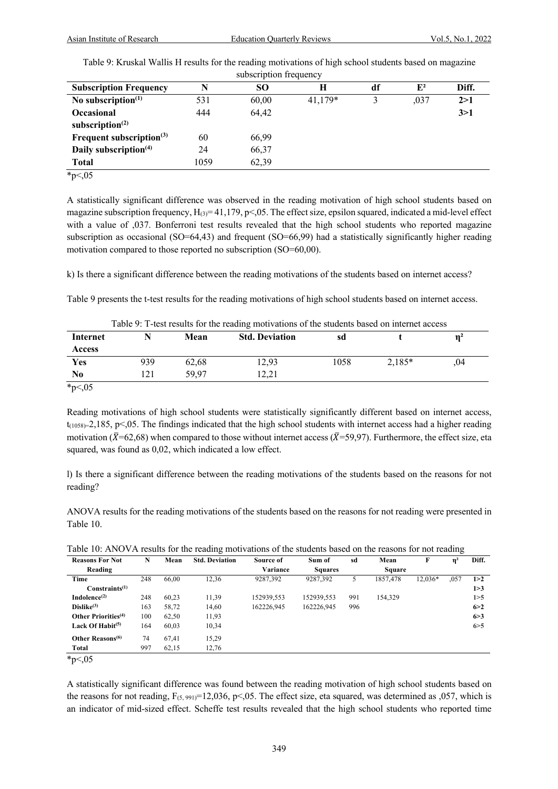| Table 9: Kruskal Wallis H results for the reading motivations of high school students based on magazine |  |
|---------------------------------------------------------------------------------------------------------|--|
| subscription frequency                                                                                  |  |

| SUUSVITJUJUIT ILVUUVIIV Y     |      |       |           |    |       |       |  |  |  |
|-------------------------------|------|-------|-----------|----|-------|-------|--|--|--|
| <b>Subscription Frequency</b> | N    | SО    | Н         | df | $E^2$ | Diff. |  |  |  |
| No subscription $(1)$         | 531  | 60,00 | $41.179*$ |    | ,037  | 2>1   |  |  |  |
| Occasional                    | 444  | 64,42 |           |    |       | 3>1   |  |  |  |
| subscription $(2)$            |      |       |           |    |       |       |  |  |  |
| Frequent subscription $(3)$   | 60   | 66,99 |           |    |       |       |  |  |  |
| Daily subscription $(4)$      | 24   | 66,37 |           |    |       |       |  |  |  |
| <b>Total</b>                  | 1059 | 62,39 |           |    |       |       |  |  |  |
| $\sim$ $\sim$ $\sim$          |      |       |           |    |       |       |  |  |  |

 $*_{p<,05}$ 

A statistically significant difference was observed in the reading motivation of high school students based on magazine subscription frequency,  $H_{(3)} = 41,179, p<0.05$ . The effect size, epsilon squared, indicated a mid-level effect with a value of ,037. Bonferroni test results revealed that the high school students who reported magazine subscription as occasional (SO=64,43) and frequent (SO=66,99) had a statistically significantly higher reading motivation compared to those reported no subscription (SO=60,00).

k) Is there a significant difference between the reading motivations of the students based on internet access?

Table 9 presents the t-test results for the reading motivations of high school students based on internet access.

| <b>Internet</b> |     | Mean  | <b>Std. Deviation</b> | sd   |          | $\mathbf{n}^2$ |
|-----------------|-----|-------|-----------------------|------|----------|----------------|
| <b>Access</b>   |     |       |                       |      |          |                |
| Yes             | 939 | 62.68 | 12,93                 | 1058 | $2.185*$ | .04            |
| N0              | 121 | 59.97 | 12.21                 |      |          |                |

\*p<,05

Reading motivations of high school students were statistically significantly different based on internet access,  $t_{(1058)=2,185, p\leq 0.05$ . The findings indicated that the high school students with internet access had a higher reading motivation ( $\bar{X}$ =62,68) when compared to those without internet access ( $\bar{X}$ =59,97). Furthermore, the effect size, eta squared, was found as 0,02, which indicated a low effect.

l) Is there a significant difference between the reading motivations of the students based on the reasons for not reading?

ANOVA results for the reading motivations of the students based on the reasons for not reading were presented in Table 10.

|  |  |  |  | Table 10: ANOVA results for the reading motivations of the students based on the reasons for not reading |  |
|--|--|--|--|----------------------------------------------------------------------------------------------------------|--|
|  |  |  |  |                                                                                                          |  |
|  |  |  |  |                                                                                                          |  |
|  |  |  |  |                                                                                                          |  |

|                                 |     |       | ັ                     |            |                |     |          |         | ັ        |       |
|---------------------------------|-----|-------|-----------------------|------------|----------------|-----|----------|---------|----------|-------|
| <b>Reasons For Not</b>          | N   | Mean  | <b>Std. Deviation</b> | Source of  | Sum of         | sd  | Mean     | F       | $\eta^2$ | Diff. |
| Reading                         |     |       |                       | Variance   | <b>Squares</b> |     | Square   |         |          |       |
| Time                            | 248 | 66.00 | 12,36                 | 9287,392   | 9287,392       |     | 1857.478 | 12,036* | ,057     | 1 > 2 |
| Constraints <sup>(1)</sup>      |     |       |                       |            |                |     |          |         |          | 1 > 3 |
| Indolence $(2)$                 | 248 | 60.23 | 11,39                 | 152939,553 | 152939,553     | 991 | 154,329  |         |          | 1 > 5 |
| Dislike <sup>(3)</sup>          | 163 | 58,72 | 14,60                 | 162226.945 | 162226,945     | 996 |          |         |          | 6 > 2 |
| Other Priorities <sup>(4)</sup> | 100 | 62,50 | 11,93                 |            |                |     |          |         |          | 6 > 3 |
| Lack Of Habit <sup>(5)</sup>    | 164 | 60.03 | 10,34                 |            |                |     |          |         |          | 6 > 5 |
| Other Reasons <sup>(6)</sup>    | 74  | 67.41 | 15,29                 |            |                |     |          |         |          |       |
| Total                           | 997 | 62,15 | 12,76                 |            |                |     |          |         |          |       |

 $*_{p<,05}$ 

A statistically significant difference was found between the reading motivation of high school students based on the reasons for not reading,  $F_{(5, 991)}=12,036$ , p<,05. The effect size, eta squared, was determined as ,057, which is an indicator of mid-sized effect. Scheffe test results revealed that the high school students who reported time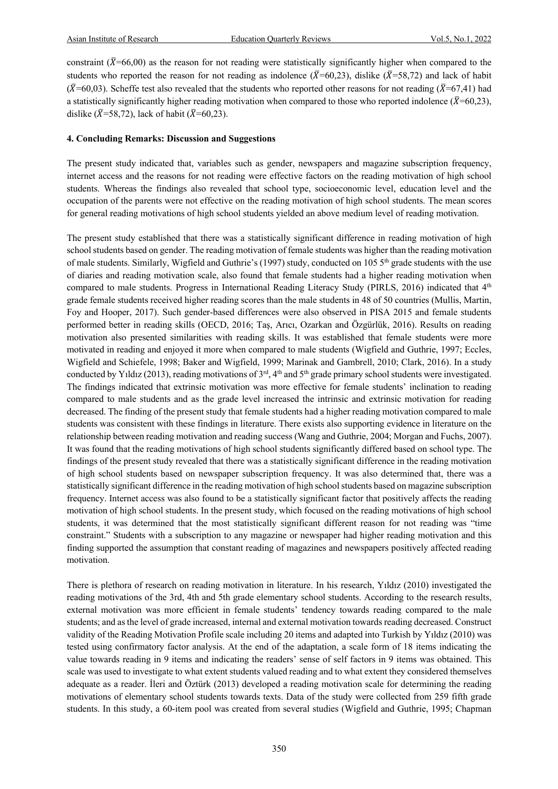constraint ( $\overline{X}$ =66,00) as the reason for not reading were statistically significantly higher when compared to the students who reported the reason for not reading as indolence ( $\bar{X}$ =60,23), dislike ( $\bar{X}$ =58,72) and lack of habit ( $\bar{X}$ =60,03). Scheffe test also revealed that the students who reported other reasons for not reading ( $\bar{X}$ =67,41) had a statistically significantly higher reading motivation when compared to those who reported indolence ( $\bar{X}$ =60,23), dislike ( $(\bar{X} = 58, 72)$ , lack of habit ( $(\bar{X} = 60, 23)$ ).

#### **4. Concluding Remarks: Discussion and Suggestions**

The present study indicated that, variables such as gender, newspapers and magazine subscription frequency, internet access and the reasons for not reading were effective factors on the reading motivation of high school students. Whereas the findings also revealed that school type, socioeconomic level, education level and the occupation of the parents were not effective on the reading motivation of high school students. The mean scores for general reading motivations of high school students yielded an above medium level of reading motivation.

The present study established that there was a statistically significant difference in reading motivation of high school students based on gender. The reading motivation of female students was higher than the reading motivation of male students. Similarly, Wigfield and Guthrie's (1997) study, conducted on 105 5th grade students with the use of diaries and reading motivation scale, also found that female students had a higher reading motivation when compared to male students. Progress in International Reading Literacy Study (PIRLS, 2016) indicated that 4<sup>th</sup> grade female students received higher reading scores than the male students in 48 of 50 countries (Mullis, Martin, Foy and Hooper, 2017). Such gender-based differences were also observed in PISA 2015 and female students performed better in reading skills (OECD, 2016; Taş, Arıcı, Ozarkan and Özgürlük, 2016). Results on reading motivation also presented similarities with reading skills. It was established that female students were more motivated in reading and enjoyed it more when compared to male students (Wigfield and Guthrie, 1997; Eccles, Wigfield and Schiefele, 1998; Baker and Wigfield, 1999; Marinak and Gambrell, 2010; Clark, 2016). In a study conducted by Yıldız (2013), reading motivations of 3<sup>rd</sup>, 4<sup>th</sup> and 5<sup>th</sup> grade primary school students were investigated. The findings indicated that extrinsic motivation was more effective for female students' inclination to reading compared to male students and as the grade level increased the intrinsic and extrinsic motivation for reading decreased. The finding of the present study that female students had a higher reading motivation compared to male students was consistent with these findings in literature. There exists also supporting evidence in literature on the relationship between reading motivation and reading success (Wang and Guthrie, 2004; Morgan and Fuchs, 2007). It was found that the reading motivations of high school students significantly differed based on school type. The findings of the present study revealed that there was a statistically significant difference in the reading motivation of high school students based on newspaper subscription frequency. It was also determined that, there was a statistically significant difference in the reading motivation of high school students based on magazine subscription frequency. Internet access was also found to be a statistically significant factor that positively affects the reading motivation of high school students. In the present study, which focused on the reading motivations of high school students, it was determined that the most statistically significant different reason for not reading was "time constraint." Students with a subscription to any magazine or newspaper had higher reading motivation and this finding supported the assumption that constant reading of magazines and newspapers positively affected reading motivation.

There is plethora of research on reading motivation in literature. In his research, Yıldız (2010) investigated the reading motivations of the 3rd, 4th and 5th grade elementary school students. According to the research results, external motivation was more efficient in female students' tendency towards reading compared to the male students; and as the level of grade increased, internal and external motivation towards reading decreased. Construct validity of the Reading Motivation Profile scale including 20 items and adapted into Turkish by Yıldız (2010) was tested using confirmatory factor analysis. At the end of the adaptation, a scale form of 18 items indicating the value towards reading in 9 items and indicating the readers' sense of self factors in 9 items was obtained. This scale was used to investigate to what extent students valued reading and to what extent they considered themselves adequate as a reader. İleri and Öztürk (2013) developed a reading motivation scale for determining the reading motivations of elementary school students towards texts. Data of the study were collected from 259 fifth grade students. In this study, a 60-item pool was created from several studies (Wigfield and Guthrie, 1995; Chapman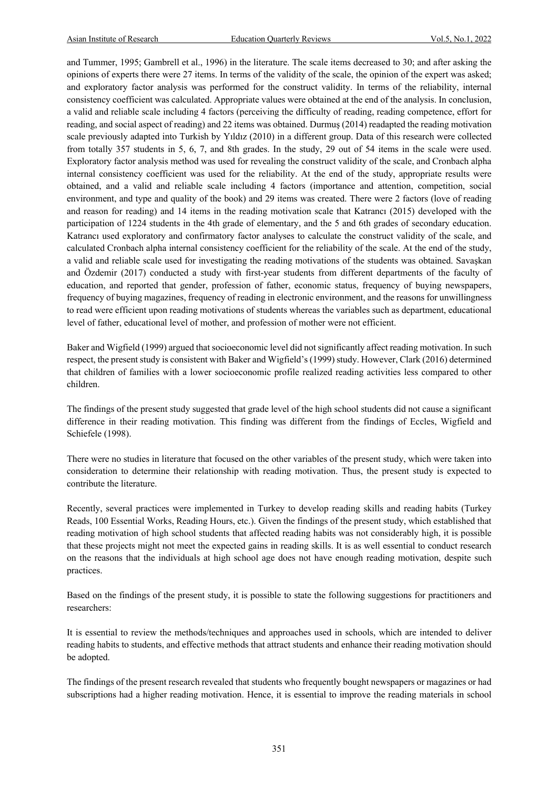and Tummer, 1995; Gambrell et al., 1996) in the literature. The scale items decreased to 30; and after asking the opinions of experts there were 27 items. In terms of the validity of the scale, the opinion of the expert was asked; and exploratory factor analysis was performed for the construct validity. In terms of the reliability, internal consistency coefficient was calculated. Appropriate values were obtained at the end of the analysis. In conclusion, a valid and reliable scale including 4 factors (perceiving the difficulty of reading, reading competence, effort for reading, and social aspect of reading) and 22 items was obtained. Durmuş (2014) readapted the reading motivation scale previously adapted into Turkish by Yıldız (2010) in a different group. Data of this research were collected from totally 357 students in 5, 6, 7, and 8th grades. In the study, 29 out of 54 items in the scale were used. Exploratory factor analysis method was used for revealing the construct validity of the scale, and Cronbach alpha internal consistency coefficient was used for the reliability. At the end of the study, appropriate results were obtained, and a valid and reliable scale including 4 factors (importance and attention, competition, social environment, and type and quality of the book) and 29 items was created. There were 2 factors (love of reading and reason for reading) and 14 items in the reading motivation scale that Katrancı (2015) developed with the participation of 1224 students in the 4th grade of elementary, and the 5 and 6th grades of secondary education. Katrancı used exploratory and confirmatory factor analyses to calculate the construct validity of the scale, and calculated Cronbach alpha internal consistency coefficient for the reliability of the scale. At the end of the study, a valid and reliable scale used for investigating the reading motivations of the students was obtained. Savaşkan and Özdemir (2017) conducted a study with first-year students from different departments of the faculty of education, and reported that gender, profession of father, economic status, frequency of buying newspapers, frequency of buying magazines, frequency of reading in electronic environment, and the reasons for unwillingness to read were efficient upon reading motivations of students whereas the variables such as department, educational level of father, educational level of mother, and profession of mother were not efficient.

Baker and Wigfield (1999) argued that socioeconomic level did not significantly affect reading motivation. In such respect, the present study is consistent with Baker and Wigfield's (1999) study. However, Clark (2016) determined that children of families with a lower socioeconomic profile realized reading activities less compared to other children.

The findings of the present study suggested that grade level of the high school students did not cause a significant difference in their reading motivation. This finding was different from the findings of Eccles, Wigfield and Schiefele (1998).

There were no studies in literature that focused on the other variables of the present study, which were taken into consideration to determine their relationship with reading motivation. Thus, the present study is expected to contribute the literature.

Recently, several practices were implemented in Turkey to develop reading skills and reading habits (Turkey Reads, 100 Essential Works, Reading Hours, etc.). Given the findings of the present study, which established that reading motivation of high school students that affected reading habits was not considerably high, it is possible that these projects might not meet the expected gains in reading skills. It is as well essential to conduct research on the reasons that the individuals at high school age does not have enough reading motivation, despite such practices.

Based on the findings of the present study, it is possible to state the following suggestions for practitioners and researchers:

It is essential to review the methods/techniques and approaches used in schools, which are intended to deliver reading habits to students, and effective methods that attract students and enhance their reading motivation should be adopted.

The findings of the present research revealed that students who frequently bought newspapers or magazines or had subscriptions had a higher reading motivation. Hence, it is essential to improve the reading materials in school